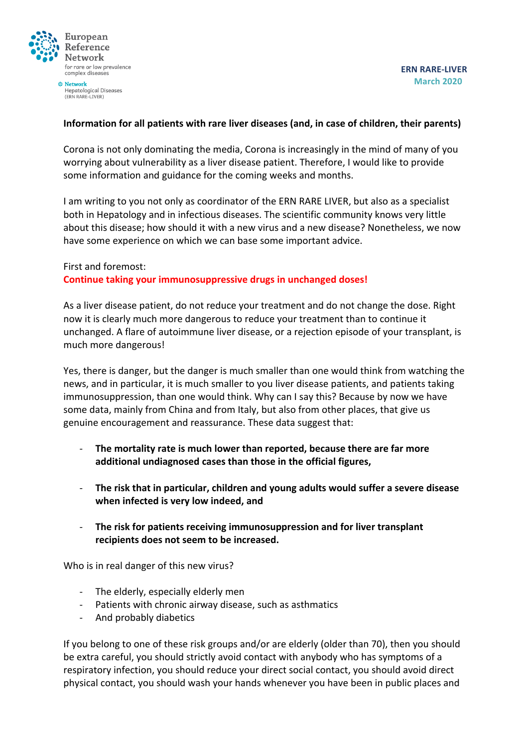

Hepatological Diseases (ERN RARE-LIVER)

## **Information for all patients with rare liver diseases (and, in case of children, their parents)**

Corona is not only dominating the media, Corona is increasingly in the mind of many of you worrying about vulnerability as a liver disease patient. Therefore, I would like to provide some information and guidance for the coming weeks and months.

I am writing to you not only as coordinator of the ERN RARE LIVER, but also as a specialist both in Hepatology and in infectious diseases. The scientific community knows very little about this disease; how should it with a new virus and a new disease? Nonetheless, we now have some experience on which we can base some important advice.

## First and foremost: **Continue taking your immunosuppressive drugs in unchanged doses!**

As a liver disease patient, do not reduce your treatment and do not change the dose. Right now it is clearly much more dangerous to reduce your treatment than to continue it unchanged. A flare of autoimmune liver disease, or a rejection episode of your transplant, is much more dangerous!

Yes, there is danger, but the danger is much smaller than one would think from watching the news, and in particular, it is much smaller to you liver disease patients, and patients taking immunosuppression, than one would think. Why can I say this? Because by now we have some data, mainly from China and from Italy, but also from other places, that give us genuine encouragement and reassurance. These data suggest that:

- The mortality rate is much lower than reported, because there are far more **additional undiagnosed cases than those in the official figures,**
- **The risk that in particular, children and young adults would suffer a severe disease** when infected is very low indeed, and
- The risk for patients receiving immunosuppression and for liver transplant recipients does not seem to be increased.

Who is in real danger of this new virus?

- The elderly, especially elderly men
- Patients with chronic airway disease, such as asthmatics
- And probably diabetics

If you belong to one of these risk groups and/or are elderly (older than 70), then you should be extra careful, you should strictly avoid contact with anybody who has symptoms of a respiratory infection, you should reduce your direct social contact, you should avoid direct physical contact, you should wash your hands whenever you have been in public places and